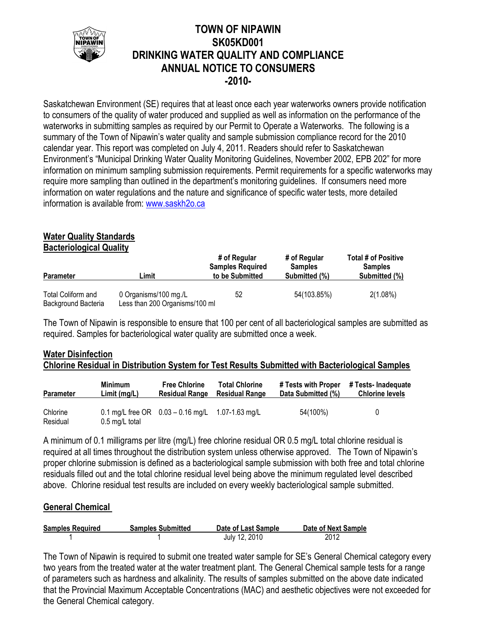

## **TOWN OF NIPAWIN SK05KD001 DRINKING WATER QUALITY AND COMPLIANCE ANNUAL NOTICE TO CONSUMERS -2010-**

Saskatchewan Environment (SE) requires that at least once each year waterworks owners provide notification to consumers of the quality of water produced and supplied as well as information on the performance of the waterworks in submitting samples as required by our Permit to Operate a Waterworks. The following is a summary of the Town of Nipawin's water quality and sample submission compliance record for the 2010 calendar year. This report was completed on July 4, 2011. Readers should refer to Saskatchewan Environment's "Municipal Drinking Water Quality Monitoring Guidelines, November 2002, EPB 202" for more information on minimum sampling submission requirements. Permit requirements for a specific waterworks may require more sampling than outlined in the department's monitoring guidelines. If consumers need more information on water regulations and the nature and significance of specific water tests, more detailed information is available from: [www.saskh2o.ca](http://www.saskh2o.ca/)

# **Water Quality Standards**

**Bacteriological Quality**

| <b>Parameter</b>                          | ∟imit                                                   | # of Regular<br><b>Samples Required</b><br>to be Submitted | # of Regular<br><b>Samples</b><br>Submitted (%) | Total # of Positive<br><b>Samples</b><br>Submitted (%) |
|-------------------------------------------|---------------------------------------------------------|------------------------------------------------------------|-------------------------------------------------|--------------------------------------------------------|
| Total Coliform and<br>Background Bacteria | 0 Organisms/100 mg./L<br>Less than 200 Organisms/100 ml | 52                                                         | 54(103.85%)                                     | $2(1.08\%)$                                            |

The Town of Nipawin is responsible to ensure that 100 per cent of all bacteriological samples are submitted as required. Samples for bacteriological water quality are submitted once a week.

## **Water Disinfection Chlorine Residual in Distribution System for Test Results Submitted with Bacteriological Samples**

| <b>Parameter</b>     | <b>Minimum</b>           | <b>Free Chlorine</b>                                   | <b>Total Chlorine</b> | # Tests with Proper | # Tests- Inadequate    |
|----------------------|--------------------------|--------------------------------------------------------|-----------------------|---------------------|------------------------|
|                      | Limit (mg/L)             | <b>Residual Range</b>                                  | <b>Residual Range</b> | Data Submitted (%)  | <b>Chlorine levels</b> |
| Chlorine<br>Residual | $0.5 \text{ mg/L}$ total | 0.1 mg/L free OR $0.03 - 0.16$ mg/L $1.07 - 1.63$ mg/L |                       | 54(100%)            | 0                      |

A minimum of 0.1 milligrams per litre (mg/L) free chlorine residual OR 0.5 mg/L total chlorine residual is required at all times throughout the distribution system unless otherwise approved. The Town of Nipawin's proper chlorine submission is defined as a bacteriological sample submission with both free and total chlorine residuals filled out and the total chlorine residual level being above the minimum regulated level described above. Chlorine residual test results are included on every weekly bacteriological sample submitted.

## **General Chemical**

| <b>Samples Required</b> | <b>Samples Submitted</b> | Date of Last Sample | Date of Next Sample |
|-------------------------|--------------------------|---------------------|---------------------|
|                         |                          | July 12, 2010       | 2012                |

The Town of Nipawin is required to submit one treated water sample for SE's General Chemical category every two years from the treated water at the water treatment plant. The General Chemical sample tests for a range of parameters such as hardness and alkalinity. The results of samples submitted on the above date indicated that the Provincial Maximum Acceptable Concentrations (MAC) and aesthetic objectives were not exceeded for the General Chemical category.